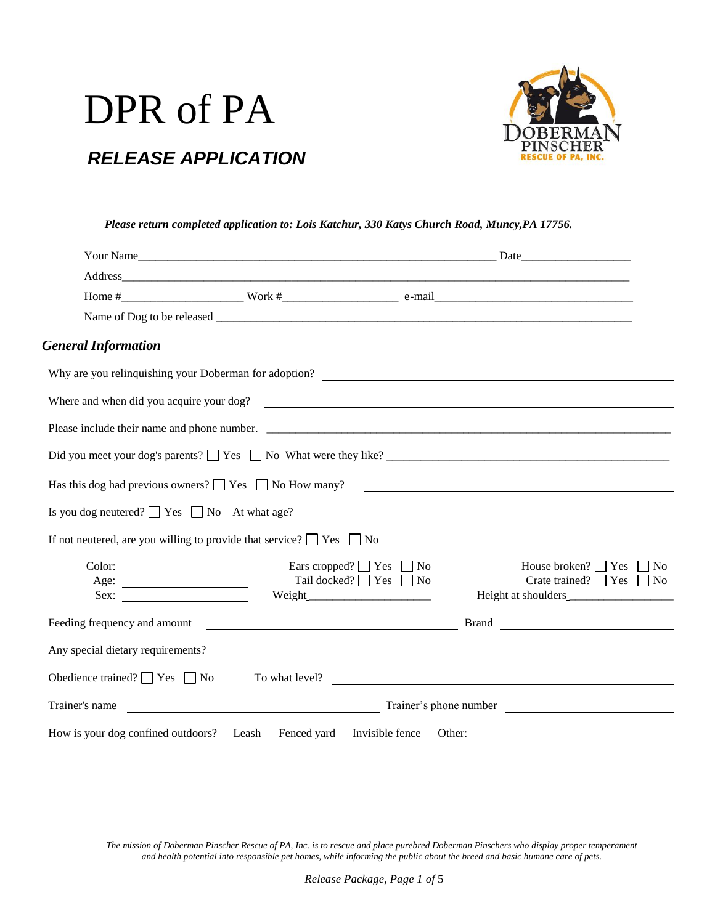# DPR of PA



### *RELEASE APPLICATION*

| Please return completed application to: Lois Katchur, 330 Katys Church Road, Muncy, PA 17756. |  |  |  |  |
|-----------------------------------------------------------------------------------------------|--|--|--|--|
|                                                                                               |  |  |  |  |
|                                                                                               |  |  |  |  |

| <b>General Information</b>                             |                                                                                |                                                                              |
|--------------------------------------------------------|--------------------------------------------------------------------------------|------------------------------------------------------------------------------|
|                                                        |                                                                                |                                                                              |
|                                                        | Where and when did you acquire your dog?                                       |                                                                              |
|                                                        |                                                                                |                                                                              |
|                                                        |                                                                                |                                                                              |
|                                                        |                                                                                | Has this dog had previous owners? $\Box$ Yes $\Box$ No How many?             |
| Is you dog neutered? $\Box$ Yes $\Box$ No At what age? |                                                                                |                                                                              |
|                                                        | If not neutered, are you willing to provide that service? $\Box$ Yes $\Box$ No |                                                                              |
| $\text{Color:}\n \qquad \qquad \text{1}$<br>Sex:       | Ears cropped? $\Box$ Yes $\Box$ No<br>Tail docked? □ Yes □ No                  | House broken? $\Box$ Yes<br>$\Box$ No<br>Crate trained? $\Box$ Yes $\Box$ No |
|                                                        |                                                                                |                                                                              |
|                                                        | Any special dietary requirements?                                              |                                                                              |
| Obedience trained? $\Box$ Yes $\Box$ No                |                                                                                | To what level?                                                               |
| Trainer's name                                         |                                                                                | $\frac{1}{2}$ Trainer's phone number                                         |
|                                                        | How is your dog confined outdoors? Leash Fenced yard Invisible fence           | Other:                                                                       |

*The mission of Doberman Pinscher Rescue of PA, Inc. is to rescue and place purebred Doberman Pinschers who display proper temperament and health potential into responsible pet homes, while informing the public about the breed and basic humane care of pets.*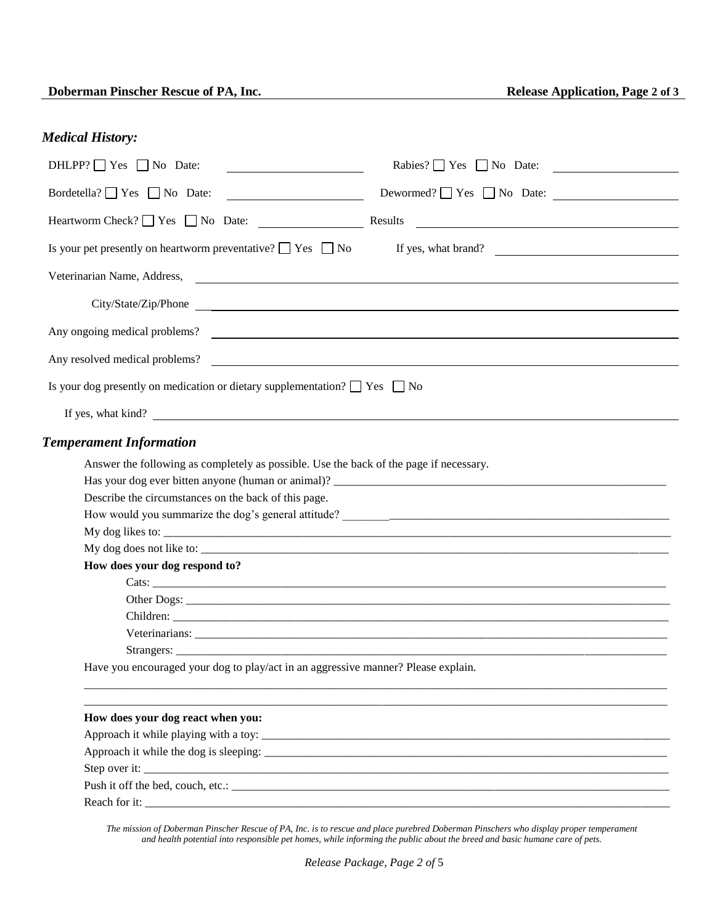### *Medical History:*

| $DHLPP?$ Yes $\Box$ No Date:<br>the control of the control of the control of the control of the control of the control of the control of the control of the control of the control of the control of the control of the control of the control of the control | $Rables? \Box Yes \Box No Date:$                                                                                                 |  |  |  |
|---------------------------------------------------------------------------------------------------------------------------------------------------------------------------------------------------------------------------------------------------------------|----------------------------------------------------------------------------------------------------------------------------------|--|--|--|
| Bordetella? $\Box$ Yes $\Box$ No Date:<br><u> The Communication of the Communication</u>                                                                                                                                                                      | Dewormed? $\Box$ Yes $\Box$ No Date:                                                                                             |  |  |  |
|                                                                                                                                                                                                                                                               | Results<br><u> 1980 - Jan Samuel Barbara, martin de la propincia de la propincia de la propincia de la propincia de la propi</u> |  |  |  |
|                                                                                                                                                                                                                                                               | Is your pet presently on heartworm preventative? $\Box$ Yes $\Box$ No If yes, what brand?                                        |  |  |  |
| Veterinarian Name, Address,                                                                                                                                                                                                                                   |                                                                                                                                  |  |  |  |
|                                                                                                                                                                                                                                                               | City/State/Zip/Phone                                                                                                             |  |  |  |
| Any ongoing medical problems?                                                                                                                                                                                                                                 |                                                                                                                                  |  |  |  |
| Any resolved medical problems?                                                                                                                                                                                                                                |                                                                                                                                  |  |  |  |
| Is your dog presently on medication or dietary supplementation? $\Box$ Yes $\Box$ No                                                                                                                                                                          |                                                                                                                                  |  |  |  |
| If yes, what kind?                                                                                                                                                                                                                                            |                                                                                                                                  |  |  |  |
| <b>Temperament Information</b>                                                                                                                                                                                                                                |                                                                                                                                  |  |  |  |
| Answer the following as completely as possible. Use the back of the page if necessary.                                                                                                                                                                        |                                                                                                                                  |  |  |  |
|                                                                                                                                                                                                                                                               |                                                                                                                                  |  |  |  |
| Describe the circumstances on the back of this page.                                                                                                                                                                                                          |                                                                                                                                  |  |  |  |
|                                                                                                                                                                                                                                                               |                                                                                                                                  |  |  |  |
|                                                                                                                                                                                                                                                               |                                                                                                                                  |  |  |  |
|                                                                                                                                                                                                                                                               |                                                                                                                                  |  |  |  |
| How does your dog respond to?                                                                                                                                                                                                                                 |                                                                                                                                  |  |  |  |
|                                                                                                                                                                                                                                                               |                                                                                                                                  |  |  |  |
|                                                                                                                                                                                                                                                               |                                                                                                                                  |  |  |  |
|                                                                                                                                                                                                                                                               | Children: <u>Andrea Children</u>                                                                                                 |  |  |  |
|                                                                                                                                                                                                                                                               |                                                                                                                                  |  |  |  |
|                                                                                                                                                                                                                                                               |                                                                                                                                  |  |  |  |
| Have you encouraged your dog to play/act in an aggressive manner? Please explain.                                                                                                                                                                             |                                                                                                                                  |  |  |  |
| How does your dog react when you:                                                                                                                                                                                                                             |                                                                                                                                  |  |  |  |
| Approach it while playing with a toy:                                                                                                                                                                                                                         |                                                                                                                                  |  |  |  |
|                                                                                                                                                                                                                                                               |                                                                                                                                  |  |  |  |
|                                                                                                                                                                                                                                                               |                                                                                                                                  |  |  |  |
| Push it off the bed, couch, etc.:                                                                                                                                                                                                                             |                                                                                                                                  |  |  |  |
|                                                                                                                                                                                                                                                               |                                                                                                                                  |  |  |  |

*The mission of Doberman Pinscher Rescue of PA, Inc. is to rescue and place purebred Doberman Pinschers who display proper temperament and health potential into responsible pet homes, while informing the public about the breed and basic humane care of pets.*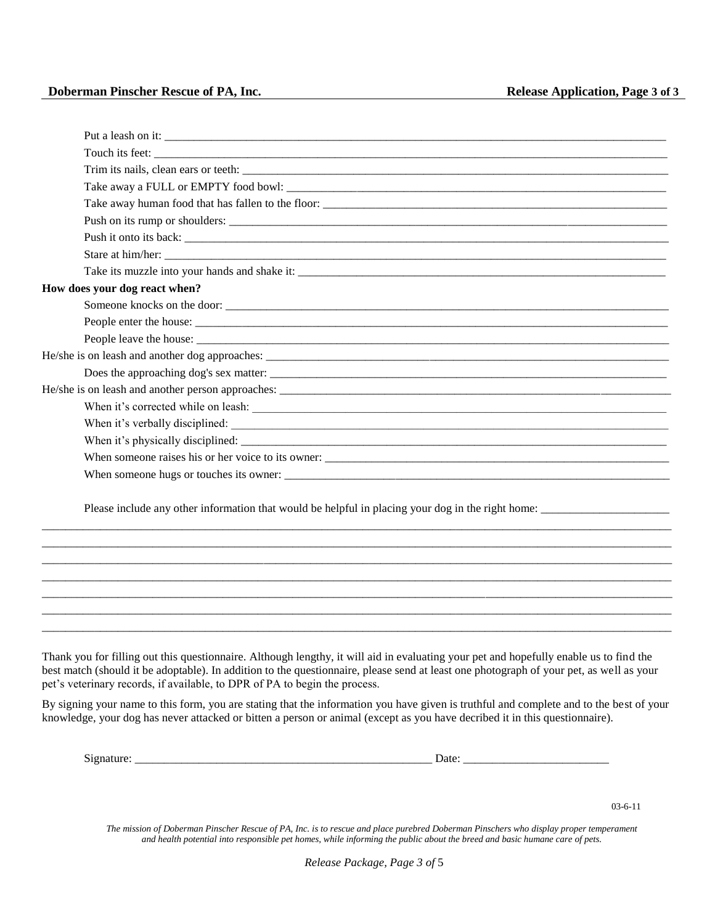#### **Doberman Pinscher Rescue of PA, Inc. Conserverse Application, Page 3** of 3

| Stare at him/her:                                                                                 |
|---------------------------------------------------------------------------------------------------|
|                                                                                                   |
| How does your dog react when?                                                                     |
|                                                                                                   |
|                                                                                                   |
|                                                                                                   |
|                                                                                                   |
|                                                                                                   |
|                                                                                                   |
|                                                                                                   |
|                                                                                                   |
|                                                                                                   |
|                                                                                                   |
|                                                                                                   |
| Please include any other information that would be helpful in placing your dog in the right home: |
|                                                                                                   |

Thank you for filling out this questionnaire. Although lengthy, it will aid in evaluating your pet and hopefully enable us to find the best match (should it be adoptable). In addition to the questionnaire, please send at least one photograph of your pet, as well as your pet's veterinary records, if available, to DPR of PA to begin the process.

\_\_\_\_\_\_\_\_\_\_\_\_\_\_\_\_\_\_\_\_\_\_\_\_\_\_\_\_\_\_\_\_\_\_\_\_\_\_\_\_\_\_\_\_\_\_\_\_\_\_\_\_\_\_\_\_\_\_\_\_\_\_\_\_\_\_\_\_\_\_\_\_\_\_\_\_\_\_\_\_\_\_\_\_\_\_\_\_\_\_\_\_\_\_\_\_\_\_\_\_\_\_\_\_\_\_\_\_ \_\_\_\_\_\_\_\_\_\_\_\_\_\_\_\_\_\_\_\_\_\_\_\_\_\_\_\_\_\_\_\_\_\_\_\_\_\_\_\_\_\_\_\_\_\_\_\_\_\_\_\_\_\_\_\_\_\_\_\_\_\_\_\_\_\_\_\_\_\_\_\_\_\_\_\_\_\_\_\_\_\_\_\_\_\_\_\_\_\_\_\_\_\_\_\_\_\_\_\_\_\_\_\_\_\_\_\_ \_\_\_\_\_\_\_\_\_\_\_\_\_\_\_\_\_\_\_\_\_\_\_\_\_\_\_\_\_\_\_\_\_\_\_\_\_\_\_\_\_\_\_\_\_\_\_\_\_\_\_\_\_\_\_\_\_\_\_\_\_\_\_\_\_\_\_\_\_\_\_\_\_\_\_\_\_\_\_\_\_\_\_\_\_\_\_\_\_\_\_\_\_\_\_\_\_\_\_\_\_\_\_\_\_\_\_\_ \_\_\_\_\_\_\_\_\_\_\_\_\_\_\_\_\_\_\_\_\_\_\_\_\_\_\_\_\_\_\_\_\_\_\_\_\_\_\_\_\_\_\_\_\_\_\_\_\_\_\_\_\_\_\_\_\_\_\_\_\_\_\_\_\_\_\_\_\_\_\_\_\_\_\_\_\_\_\_\_\_\_\_\_\_\_\_\_\_\_\_\_\_\_\_\_\_\_\_\_\_\_\_\_\_\_\_\_ \_\_\_\_\_\_\_\_\_\_\_\_\_\_\_\_\_\_\_\_\_\_\_\_\_\_\_\_\_\_\_\_\_\_\_\_\_\_\_\_\_\_\_\_\_\_\_\_\_\_\_\_\_\_\_\_\_\_\_\_\_\_\_\_\_\_\_\_\_\_\_\_\_\_\_\_\_\_\_\_\_\_\_\_\_\_\_\_\_\_\_\_\_\_\_\_\_\_\_\_\_\_\_\_\_\_\_\_

By signing your name to this form, you are stating that the information you have given is truthful and complete and to the best of your knowledge, your dog has never attacked or bitten a person or animal (except as you have decribed it in this questionnaire).

Signature: <br>  $\Box$  Date:  $\Box$ 

03-6-11

*The mission of Doberman Pinscher Rescue of PA, Inc. is to rescue and place purebred Doberman Pinschers who display proper temperament and health potential into responsible pet homes, while informing the public about the breed and basic humane care of pets.*

*Release Package, Page 3 of* 5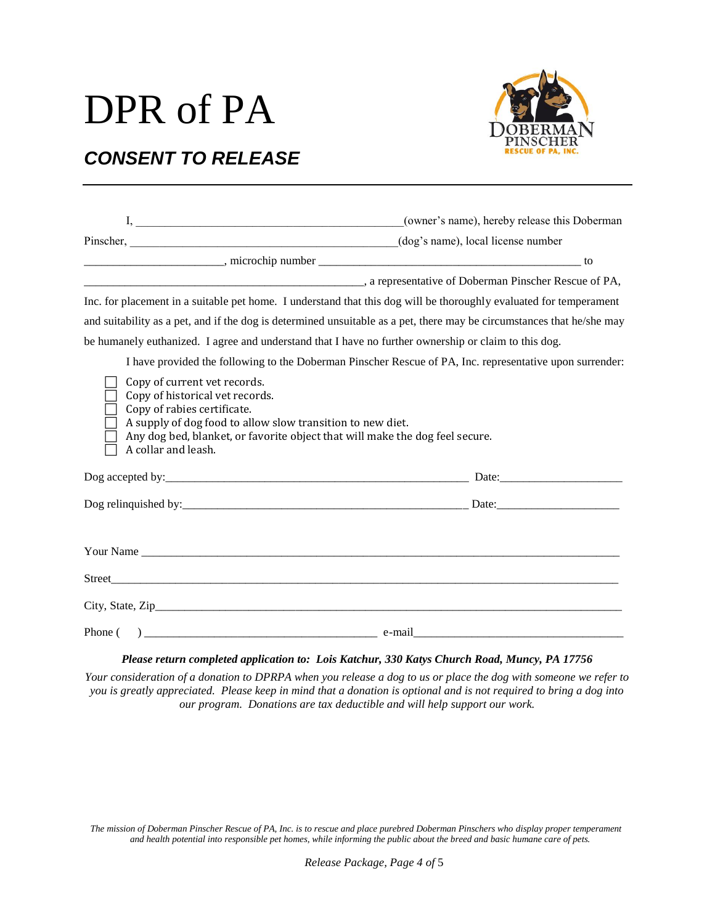## DPR of PA



### *CONSENT TO RELEASE*

|                                                                                                                                                                                                                                                                     | (owner's name), hereby release this Doberman |  |  |  |
|---------------------------------------------------------------------------------------------------------------------------------------------------------------------------------------------------------------------------------------------------------------------|----------------------------------------------|--|--|--|
| Pinscher, (dog's name), local license number                                                                                                                                                                                                                        |                                              |  |  |  |
|                                                                                                                                                                                                                                                                     |                                              |  |  |  |
| a representative of Doberman Pinscher Rescue of PA,                                                                                                                                                                                                                 |                                              |  |  |  |
| Inc. for placement in a suitable pet home. I understand that this dog will be thoroughly evaluated for temperament                                                                                                                                                  |                                              |  |  |  |
| and suitability as a pet, and if the dog is determined unsuitable as a pet, there may be circumstances that he/she may                                                                                                                                              |                                              |  |  |  |
| be humanely euthanized. I agree and understand that I have no further ownership or claim to this dog.                                                                                                                                                               |                                              |  |  |  |
| I have provided the following to the Doberman Pinscher Rescue of PA, Inc. representative upon surrender:                                                                                                                                                            |                                              |  |  |  |
| Copy of current vet records.<br>Copy of historical vet records.<br>Copy of rabies certificate.<br>A supply of dog food to allow slow transition to new diet.<br>Any dog bed, blanket, or favorite object that will make the dog feel secure.<br>A collar and leash. |                                              |  |  |  |
|                                                                                                                                                                                                                                                                     |                                              |  |  |  |
|                                                                                                                                                                                                                                                                     |                                              |  |  |  |
|                                                                                                                                                                                                                                                                     |                                              |  |  |  |
|                                                                                                                                                                                                                                                                     |                                              |  |  |  |
|                                                                                                                                                                                                                                                                     |                                              |  |  |  |
|                                                                                                                                                                                                                                                                     |                                              |  |  |  |

#### *Please return completed application to: Lois Katchur, 330 Katys Church Road, Muncy, PA 17756*

*Your consideration of a donation to DPRPA when you release a dog to us or place the dog with someone we refer to you is greatly appreciated. Please keep in mind that a donation is optional and is not required to bring a dog into our program. Donations are tax deductible and will help support our work.*

*The mission of Doberman Pinscher Rescue of PA, Inc. is to rescue and place purebred Doberman Pinschers who display proper temperament and health potential into responsible pet homes, while informing the public about the breed and basic humane care of pets.*